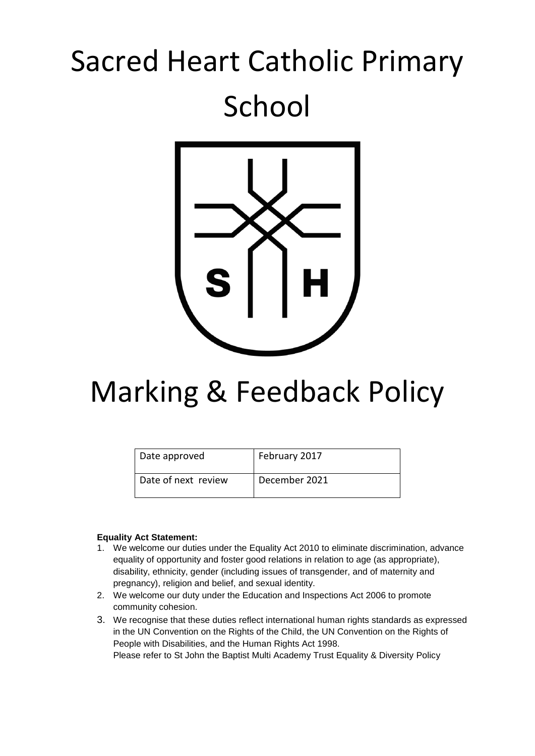# Sacred Heart Catholic Primary School



# Marking & Feedback Policy

| Date approved       | February 2017 |
|---------------------|---------------|
| Date of next review | December 2021 |

#### **Equality Act Statement:**

- 1. We welcome our duties under the Equality Act 2010 to eliminate discrimination, advance equality of opportunity and foster good relations in relation to age (as appropriate), disability, ethnicity, gender (including issues of transgender, and of maternity and pregnancy), religion and belief, and sexual identity.
- 2. We welcome our duty under the Education and Inspections Act 2006 to promote community cohesion.
- 3. We recognise that these duties reflect international human rights standards as expressed in the UN Convention on the Rights of the Child, the UN Convention on the Rights of People with Disabilities, and the Human Rights Act 1998. Please refer to St John the Baptist Multi Academy Trust Equality & Diversity Policy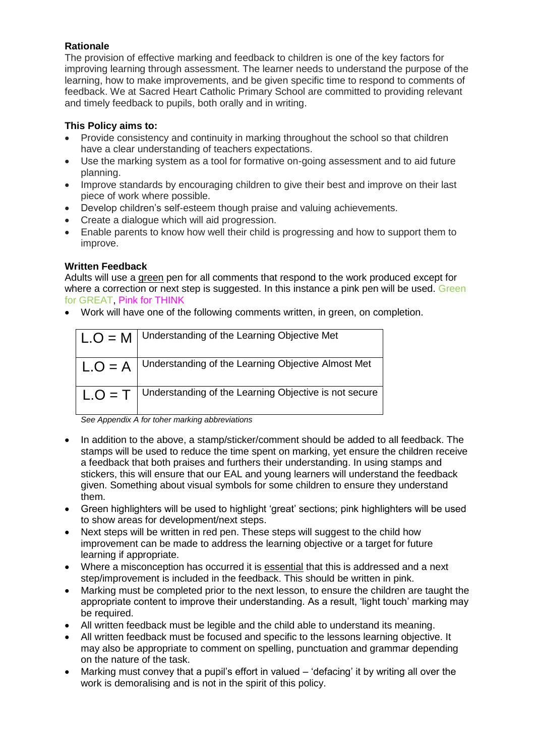## **Rationale**

The provision of effective marking and feedback to children is one of the key factors for improving learning through assessment. The learner needs to understand the purpose of the learning, how to make improvements, and be given specific time to respond to comments of feedback. We at Sacred Heart Catholic Primary School are committed to providing relevant and timely feedback to pupils, both orally and in writing.

#### **This Policy aims to:**

- Provide consistency and continuity in marking throughout the school so that children have a clear understanding of teachers expectations.
- Use the marking system as a tool for formative on-going assessment and to aid future planning.
- Improve standards by encouraging children to give their best and improve on their last piece of work where possible.
- Develop children's self-esteem though praise and valuing achievements.
- Create a dialogue which will aid progression.
- Enable parents to know how well their child is progressing and how to support them to improve.

#### **Written Feedback**

Adults will use a green pen for all comments that respond to the work produced except for where a correction or next step is suggested. In this instance a pink pen will be used. Green for GREAT, Pink for THINK

• Work will have one of the following comments written, in green, on completion.

| $ $ L.O = M | Understanding of the Learning Objective Met                     |
|-------------|-----------------------------------------------------------------|
| $L.O = A$   | Understanding of the Learning Objective Almost Met              |
|             | $L.O = T$ Understanding of the Learning Objective is not secure |

*See Appendix A for toher marking abbreviations*

- In addition to the above, a stamp/sticker/comment should be added to all feedback. The stamps will be used to reduce the time spent on marking, yet ensure the children receive a feedback that both praises and furthers their understanding. In using stamps and stickers, this will ensure that our EAL and young learners will understand the feedback given. Something about visual symbols for some children to ensure they understand them.
- Green highlighters will be used to highlight 'great' sections; pink highlighters will be used to show areas for development/next steps.
- Next steps will be written in red pen. These steps will suggest to the child how improvement can be made to address the learning objective or a target for future learning if appropriate.
- Where a misconception has occurred it is essential that this is addressed and a next step/improvement is included in the feedback. This should be written in pink.
- Marking must be completed prior to the next lesson, to ensure the children are taught the appropriate content to improve their understanding. As a result, 'light touch' marking may be required.
- All written feedback must be legible and the child able to understand its meaning.
- All written feedback must be focused and specific to the lessons learning objective. It may also be appropriate to comment on spelling, punctuation and grammar depending on the nature of the task.
- Marking must convey that a pupil's effort in valued 'defacing' it by writing all over the work is demoralising and is not in the spirit of this policy.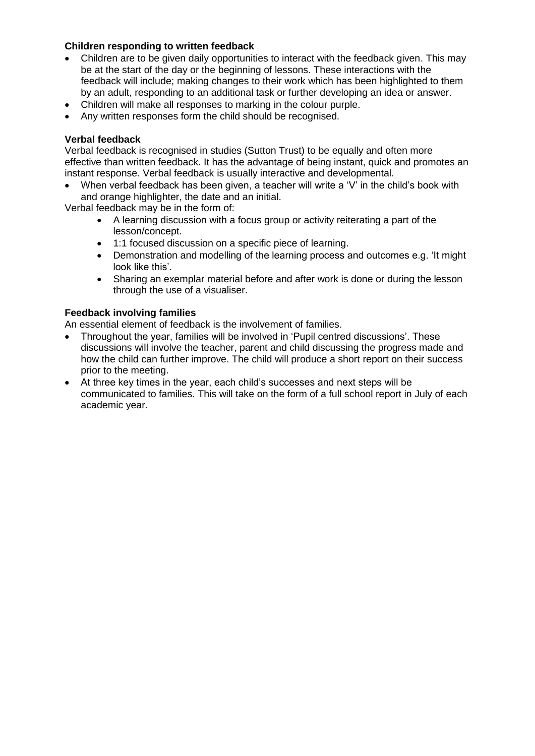#### **Children responding to written feedback**

- Children are to be given daily opportunities to interact with the feedback given. This may be at the start of the day or the beginning of lessons. These interactions with the feedback will include; making changes to their work which has been highlighted to them by an adult, responding to an additional task or further developing an idea or answer.
- Children will make all responses to marking in the colour purple.
- Any written responses form the child should be recognised.

#### **Verbal feedback**

Verbal feedback is recognised in studies (Sutton Trust) to be equally and often more effective than written feedback. It has the advantage of being instant, quick and promotes an instant response. Verbal feedback is usually interactive and developmental.

• When verbal feedback has been given, a teacher will write a 'V' in the child's book with and orange highlighter, the date and an initial.

Verbal feedback may be in the form of:

- A learning discussion with a focus group or activity reiterating a part of the lesson/concept.
- 1:1 focused discussion on a specific piece of learning.
- Demonstration and modelling of the learning process and outcomes e.g. 'It might look like this'.
- Sharing an exemplar material before and after work is done or during the lesson through the use of a visualiser.

#### **Feedback involving families**

An essential element of feedback is the involvement of families.

- Throughout the year, families will be involved in 'Pupil centred discussions'. These discussions will involve the teacher, parent and child discussing the progress made and how the child can further improve. The child will produce a short report on their success prior to the meeting.
- At three key times in the year, each child's successes and next steps will be communicated to families. This will take on the form of a full school report in July of each academic year.